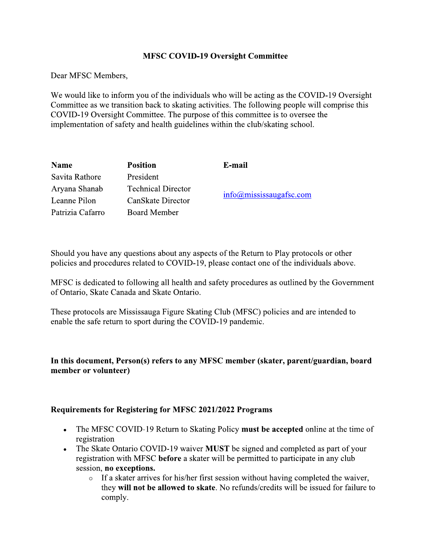### **MFSC COVID-19 Oversight Committee**

Dear MFSC Members,

We would like to inform you of the individuals who will be acting as the COVID-19 Oversight Committee as we transition back to skating activities. The following people will comprise this COVID-19 Oversight Committee. The purpose of this committee is to oversee the implementation of safety and health guidelines within the club/skating school.

| Name             | <b>Position</b>           | E-mail                            |
|------------------|---------------------------|-----------------------------------|
| Savita Rathore   | President                 | $info(\omega)$ mississaugafsc.com |
| Aryana Shanab    | <b>Technical Director</b> |                                   |
| Leanne Pilon     | CanSkate Director         |                                   |
| Patrizia Cafarro | Board Member              |                                   |

Should you have any questions about any aspects of the Return to Play protocols or other policies and procedures related to COVID-19, please contact one of the individuals above.

MFSC is dedicated to following all health and safety procedures as outlined by the Government of Ontario, Skate Canada and Skate Ontario.

These protocols are Mississauga Figure Skating Club (MFSC) policies and are intended to enable the safe return to sport during the COVID-19 pandemic.

## In this document, Person(s) refers to any MFSC member (skater, parent/guardian, board member or volunteer)

#### **Requirements for Registering for MFSC 2021/2022 Programs**

- The MFSC COVID-19 Return to Skating Policy must be accepted online at the time of  $\bullet$ registration
- The Skate Ontario COVID-19 waiver MUST be signed and completed as part of your registration with MFSC before a skater will be permitted to participate in any club session, no exceptions.
	- If a skater arrives for his/her first session without having completed the waiver, they will not be allowed to skate. No refunds/credits will be issued for failure to comply.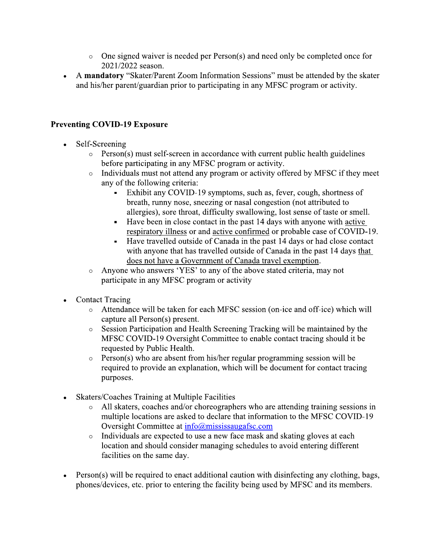- One signed waiver is needed per Person(s) and need only be completed once for  $\circ$ 2021/2022 season.
- A mandatory "Skater/Parent Zoom Information Sessions" must be attended by the skater and his/her parent/guardian prior to participating in any MFSC program or activity.

## **Preventing COVID-19 Exposure**

- Self-Screening
	- $\circ$  Person(s) must self-screen in accordance with current public health guidelines before participating in any MFSC program or activity.
	- Individuals must not attend any program or activity offered by MFSC if they meet  $\circ$ any of the following criteria:
		- Exhibit any COVID-19 symptoms, such as, fever, cough, shortness of breath, runny nose, sneezing or nasal congestion (not attributed to allergies), sore throat, difficulty swallowing, lost sense of taste or smell.
		- Have been in close contact in the past 14 days with anyone with active respiratory illness or and active confirmed or probable case of COVID-19.
		- Have travelled outside of Canada in the past 14 days or had close contact with anyone that has travelled outside of Canada in the past 14 days that does not have a Government of Canada travel exemption.
	- Anyone who answers 'YES' to any of the above stated criteria, may not participate in any MFSC program or activity
- **Contact Tracing** 
	- o Attendance will be taken for each MFSC session (on-ice and off-ice) which will capture all Person(s) present.
	- Session Participation and Health Screening Tracking will be maintained by the  $\circ$ MFSC COVID-19 Oversight Committee to enable contact tracing should it be requested by Public Health.
	- Person(s) who are absent from his/her regular programming session will be  $\circ$ required to provide an explanation, which will be document for contact tracing purposes.
- Skaters/Coaches Training at Multiple Facilities
	- o All skaters, coaches and/or choreographers who are attending training sessions in multiple locations are asked to declare that information to the MFSC COVID-19 Oversight Committee at info@mississaugafsc.com
	- Individuals are expected to use a new face mask and skating gloves at each  $\circ$ location and should consider managing schedules to avoid entering different facilities on the same day.
- Person(s) will be required to enact additional caution with disinfecting any clothing, bags, phones/devices, etc. prior to entering the facility being used by MFSC and its members.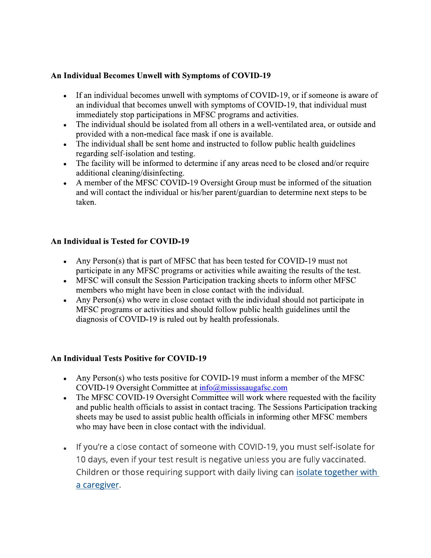## An Individual Becomes Unwell with Symptoms of COVID-19

- If an individual becomes unwell with symptoms of COVID-19, or if someone is aware of  $\bullet$ an individual that becomes unwell with symptoms of COVID-19, that individual must immediately stop participations in MFSC programs and activities.
- The individual should be isolated from all others in a well-ventilated area, or outside and  $\bullet$ provided with a non-medical face mask if one is available.
- The individual shall be sent home and instructed to follow public health guidelines  $\bullet$ regarding self-isolation and testing.
- The facility will be informed to determine if any areas need to be closed and/or require  $\bullet$ additional cleaning/disinfecting.
- A member of the MFSC COVID-19 Oversight Group must be informed of the situation  $\bullet$ and will contact the individual or his/her parent/guardian to determine next steps to be taken.

## An Individual is Tested for COVID-19

- Any Person(s) that is part of MFSC that has been tested for COVID-19 must not participate in any MFSC programs or activities while awaiting the results of the test.
- MFSC will consult the Session Participation tracking sheets to inform other MFSC members who might have been in close contact with the individual.
- Any Person(s) who were in close contact with the individual should not participate in MFSC programs or activities and should follow public health guidelines until the diagnosis of COVID-19 is ruled out by health professionals.

## **An Individual Tests Positive for COVID-19**

- Any Person(s) who tests positive for COVID-19 must inform a member of the MFSC COVID-19 Oversight Committee at info@mississaugafsc.com
- The MFSC COVID-19 Oversight Committee will work where requested with the facility  $\bullet$ and public health officials to assist in contact tracing. The Sessions Participation tracking sheets may be used to assist public health officials in informing other MFSC members who may have been in close contact with the individual.
- If you're a close contact of someone with COVID-19, you must self-isolate for 10 days, even if your test result is negative unless you are fully vaccinated. Children or those requiring support with daily living can isolate together with a caregiver.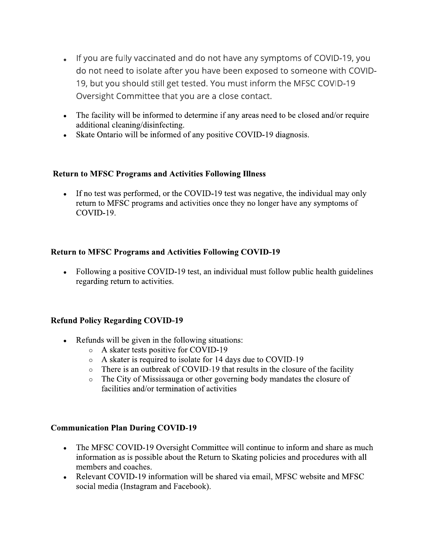- If you are fully vaccinated and do not have any symptoms of COVID-19, you do not need to isolate after you have been exposed to someone with COVID-19, but you should still get tested. You must inform the MFSC COVID-19 Oversight Committee that you are a close contact.
- The facility will be informed to determine if any areas need to be closed and/or require additional cleaning/disinfecting.
- Skate Ontario will be informed of any positive COVID-19 diagnosis.

#### **Return to MFSC Programs and Activities Following Illness**

If no test was performed, or the COVID-19 test was negative, the individual may only return to MFSC programs and activities once they no longer have any symptoms of COVID-19.

#### **Return to MFSC Programs and Activities Following COVID-19**

• Following a positive COVID-19 test, an individual must follow public health guidelines regarding return to activities.

#### **Refund Policy Regarding COVID-19**

- Refunds will be given in the following situations:
	- A skater tests positive for COVID-19
	- o A skater is required to isolate for 14 days due to COVID-19
	- o There is an outbreak of COVID-19 that results in the closure of the facility
	- The City of Mississauga or other governing body mandates the closure of facilities and/or termination of activities

## **Communication Plan During COVID-19**

- The MFSC COVID-19 Oversight Committee will continue to inform and share as much  $\bullet$ information as is possible about the Return to Skating policies and procedures with all members and coaches.
- Relevant COVID-19 information will be shared via email, MFSC website and MFSC  $\bullet$ social media (Instagram and Facebook).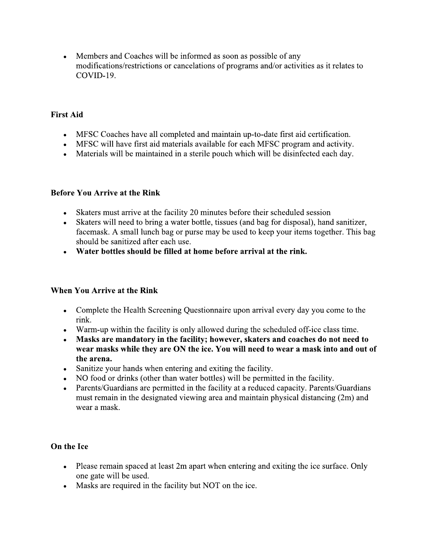Members and Coaches will be informed as soon as possible of any  $\bullet$ modifications/restrictions or cancelations of programs and/or activities as it relates to COVID-19.

# **First Aid**

- MFSC Coaches have all completed and maintain up-to-date first aid certification.
- MFSC will have first aid materials available for each MFSC program and activity.
- Materials will be maintained in a sterile pouch which will be disinfected each day.

## **Before You Arrive at the Rink**

- Skaters must arrive at the facility 20 minutes before their scheduled session
- Skaters will need to bring a water bottle, tissues (and bag for disposal), hand sanitizer, facemask. A small lunch bag or purse may be used to keep your items together. This bag should be sanitized after each use.
- Water bottles should be filled at home before arrival at the rink.

# **When You Arrive at the Rink**

- Complete the Health Screening Questionnaire upon arrival every day you come to the rink.
- Warm-up within the facility is only allowed during the scheduled off-ice class time.
- Masks are mandatory in the facility; however, skaters and coaches do not need to wear masks while they are ON the ice. You will need to wear a mask into and out of the arena.
- Sanitize your hands when entering and exiting the facility.  $\bullet$
- NO food or drinks (other than water bottles) will be permitted in the facility.
- Parents/Guardians are permitted in the facility at a reduced capacity. Parents/Guardians must remain in the designated viewing area and maintain physical distancing (2m) and wear a mask.

# On the Ice

- Please remain spaced at least 2m apart when entering and exiting the ice surface. Only one gate will be used.
- Masks are required in the facility but NOT on the ice.